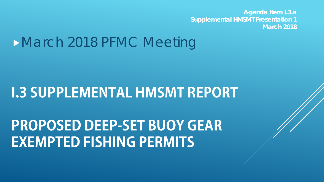**Agenda Item I.3.a Supplemental HMSMT Presentation 1 March 2018**

## March 2018 PFMC Meeting

## **I.3 SUPPLEMENTAL HMSMT REPORT**

## **PROPOSED DEEP-SET BUOY GEAR EXEMPTED FISHING PERMITS**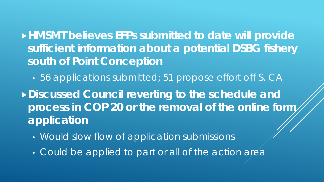**HMSMT believes EFPs submitted to date will provide sufficient information about a potential DSBG fishery south of Point Conception**

• 56 applications submitted; 51 propose effort off S. CA

**Discussed Council reverting to the schedule and**  process in COP 20 or the removal of the online form, **application**

- Would slow flow of application submissions
- Could be applied to part or all of the action area